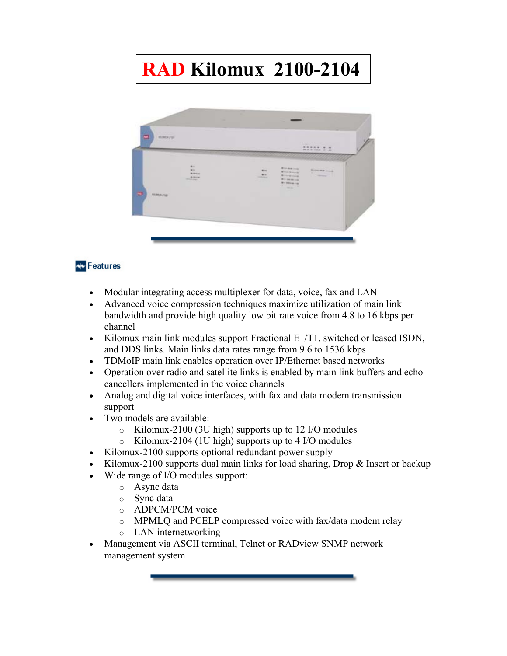# **RAD Kilomux 2100-2104**



# **AV** Features

- Modular integrating access multiplexer for data, voice, fax and LAN
- Advanced voice compression techniques maximize utilization of main link bandwidth and provide high quality low bit rate voice from 4.8 to 16 kbps per channel
- Kilomux main link modules support Fractional E1/T1, switched or leased ISDN, and DDS links. Main links data rates range from 9.6 to 1536 kbps
- TDMoIP main link enables operation over IP/Ethernet based networks
- Operation over radio and satellite links is enabled by main link buffers and echo cancellers implemented in the voice channels
- Analog and digital voice interfaces, with fax and data modem transmission support
- Two models are available:
	- o Kilomux-2100 (3U high) supports up to 12 I/O modules
	- o Kilomux-2104 (1U high) supports up to 4 I/O modules
- Kilomux-2100 supports optional redundant power supply
- Kilomux-2100 supports dual main links for load sharing, Drop & Insert or backup
- Wide range of I/O modules support:
	- o Async data
	- o Sync data
	- o ADPCM/PCM voice
	- o MPMLQ and PCELP compressed voice with fax/data modem relay
	- o LAN internetworking
- Management via ASCII terminal, Telnet or RADview SNMP network management system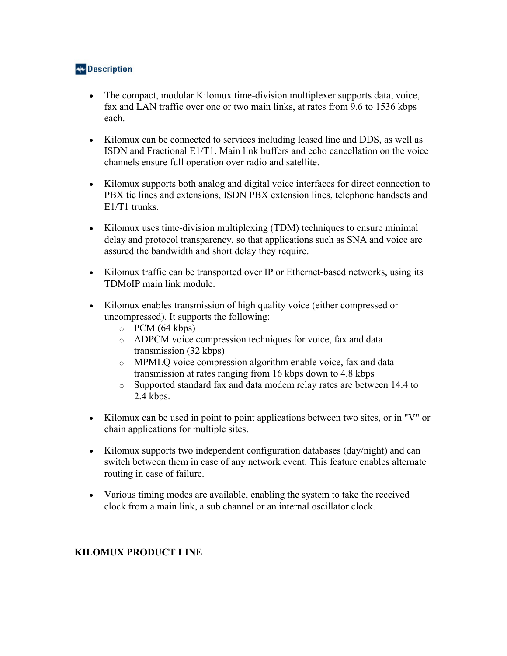# **Av** Description

- The compact, modular Kilomux time-division multiplexer supports data, voice, fax and LAN traffic over one or two main links, at rates from 9.6 to 1536 kbps each.
- Kilomux can be connected to services including leased line and DDS, as well as ISDN and Fractional E1/T1. Main link buffers and echo cancellation on the voice channels ensure full operation over radio and satellite.
- Kilomux supports both analog and digital voice interfaces for direct connection to PBX tie lines and extensions, ISDN PBX extension lines, telephone handsets and E1/T1 trunks.
- Kilomux uses time-division multiplexing (TDM) techniques to ensure minimal delay and protocol transparency, so that applications such as SNA and voice are assured the bandwidth and short delay they require.
- Kilomux traffic can be transported over IP or Ethernet-based networks, using its TDMoIP main link module.
- Kilomux enables transmission of high quality voice (either compressed or uncompressed). It supports the following:
	- $O$  PCM (64 kbps)
	- o ADPCM voice compression techniques for voice, fax and data transmission (32 kbps)
	- o MPMLQ voice compression algorithm enable voice, fax and data transmission at rates ranging from 16 kbps down to 4.8 kbps
	- o Supported standard fax and data modem relay rates are between 14.4 to 2.4 kbps.
- Kilomux can be used in point to point applications between two sites, or in "V" or chain applications for multiple sites.
- Kilomux supports two independent configuration databases (day/night) and can switch between them in case of any network event. This feature enables alternate routing in case of failure.
- Various timing modes are available, enabling the system to take the received clock from a main link, a sub channel or an internal oscillator clock.

#### **KILOMUX PRODUCT LINE**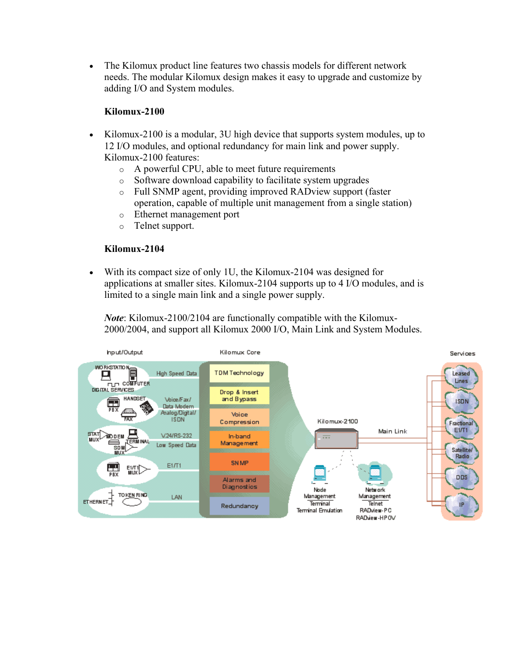• The Kilomux product line features two chassis models for different network needs. The modular Kilomux design makes it easy to upgrade and customize by adding I/O and System modules.

#### **Kilomux-2100**

- Kilomux-2100 is a modular, 3U high device that supports system modules, up to 12 I/O modules, and optional redundancy for main link and power supply. Kilomux-2100 features:
	- o A powerful CPU, able to meet future requirements
	- o Software download capability to facilitate system upgrades
	- o Full SNMP agent, providing improved RADview support (faster operation, capable of multiple unit management from a single station)
	- o Ethernet management port
	- o Telnet support.

## **Kilomux-2104**

• With its compact size of only 1U, the Kilomux-2104 was designed for applications at smaller sites. Kilomux-2104 supports up to 4 I/O modules, and is limited to a single main link and a single power supply.

*Note*: Kilomux-2100/2104 are functionally compatible with the Kilomux-2000/2004, and support all Kilomux 2000 I/O, Main Link and System Modules.

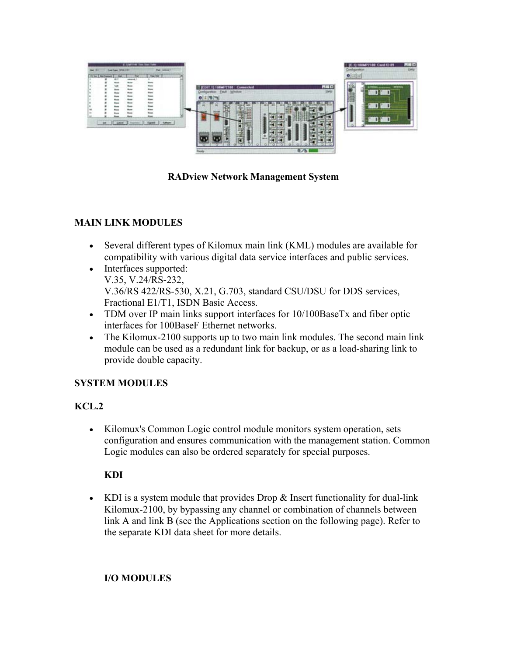

**RADview Network Management System**

# **MAIN LINK MODULES**

- Several different types of Kilomux main link (KML) modules are available for compatibility with various digital data service interfaces and public services.
- Interfaces supported: V.35, V.24/RS-232, V.36/RS 422/RS-530, X.21, G.703, standard CSU/DSU for DDS services, Fractional E1/T1, ISDN Basic Access.
- TDM over IP main links support interfaces for 10/100BaseTx and fiber optic interfaces for 100BaseF Ethernet networks.
- The Kilomux-2100 supports up to two main link modules. The second main link module can be used as a redundant link for backup, or as a load-sharing link to provide double capacity.

## **SYSTEM MODULES**

## **KCL.2**

• Kilomux's Common Logic control module monitors system operation, sets configuration and ensures communication with the management station. Common Logic modules can also be ordered separately for special purposes.

#### **KDI**

• KDI is a system module that provides Drop & Insert functionality for dual-link Kilomux-2100, by bypassing any channel or combination of channels between link A and link B (see the Applications section on the following page). Refer to the separate KDI data sheet for more details.

#### **I/O MODULES**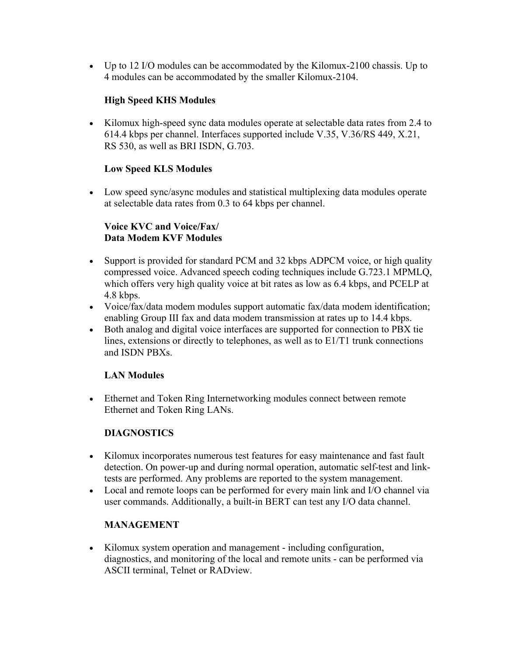• Up to 12 I/O modules can be accommodated by the Kilomux-2100 chassis. Up to 4 modules can be accommodated by the smaller Kilomux-2104.

## **High Speed KHS Modules**

• Kilomux high-speed sync data modules operate at selectable data rates from 2.4 to 614.4 kbps per channel. Interfaces supported include V.35, V.36/RS 449, X.21, RS 530, as well as BRI ISDN, G.703.

#### **Low Speed KLS Modules**

• Low speed sync/async modules and statistical multiplexing data modules operate at selectable data rates from 0.3 to 64 kbps per channel.

#### **Voice KVC and Voice/Fax/ Data Modem KVF Modules**

- Support is provided for standard PCM and 32 kbps ADPCM voice, or high quality compressed voice. Advanced speech coding techniques include G.723.1 MPMLQ, which offers very high quality voice at bit rates as low as 6.4 kbps, and PCELP at 4.8 kbps.
- Voice/fax/data modem modules support automatic fax/data modem identification; enabling Group III fax and data modem transmission at rates up to 14.4 kbps.
- Both analog and digital voice interfaces are supported for connection to PBX tie lines, extensions or directly to telephones, as well as to E1/T1 trunk connections and ISDN PBXs.

#### **LAN Modules**

• Ethernet and Token Ring Internetworking modules connect between remote Ethernet and Token Ring LANs.

## **DIAGNOSTICS**

- Kilomux incorporates numerous test features for easy maintenance and fast fault detection. On power-up and during normal operation, automatic self-test and linktests are performed. Any problems are reported to the system management.
- Local and remote loops can be performed for every main link and I/O channel via user commands. Additionally, a built-in BERT can test any I/O data channel.

#### **MANAGEMENT**

• Kilomux system operation and management - including configuration, diagnostics, and monitoring of the local and remote units - can be performed via ASCII terminal, Telnet or RADview.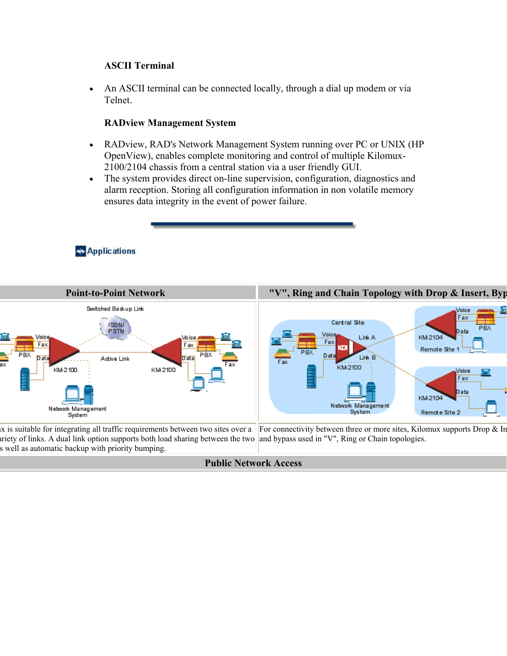#### **ASCII Terminal**

• An ASCII terminal can be connected locally, through a dial up modem or via Telnet.

#### **RADview Management System**

- RADview, RAD's Network Management System running over PC or UNIX (HP OpenView), enables complete monitoring and control of multiple Kilomux-2100/2104 chassis from a central station via a user friendly GUI.
- The system provides direct on-line supervision, configuration, diagnostics and alarm reception. Storing all configuration information in non volatile memory ensures data integrity in the event of power failure.

## **Av** Applications



**Public Network Access**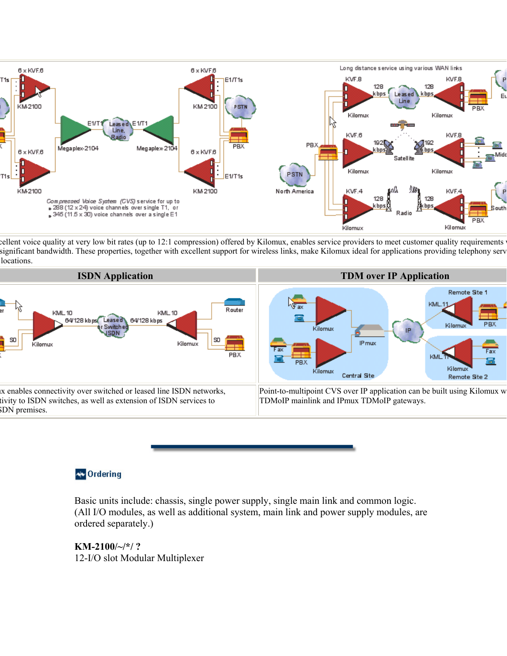

cellent voice quality at very low bit rates (up to 12:1 compression) offered by Kilomux, enables service providers to meet customer quality requirements significant bandwidth. These properties, together with excellent support for wireless links, make Kilomux ideal for applications providing telephony serv locations.



## **N** Ordering

Basic units include: chassis, single power supply, single main link and common logic. (All I/O modules, as well as additional system, main link and power supply modules, are ordered separately.)

**KM-2100/~/\*/ ?** 12-I/O slot Modular Multiplexer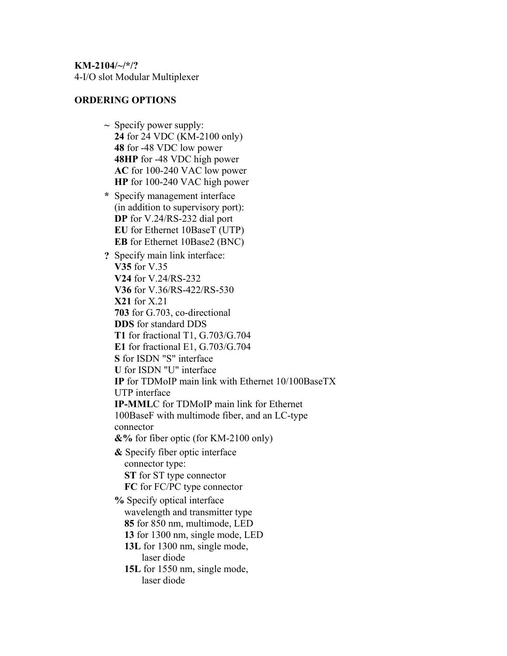**KM-2104/~/\*/?**  4-I/O slot Modular Multiplexer

#### **ORDERING OPTIONS**

- **~** Specify power supply: **24** for 24 VDC (KM-2100 only) **48** for -48 VDC low power **48HP** for -48 VDC high power **AC** for 100-240 VAC low power **HP** for 100-240 VAC high power
- **\*** Specify management interface (in addition to supervisory port): **DP** for V.24/RS-232 dial port **EU** for Ethernet 10BaseT (UTP) **EB** for Ethernet 10Base2 (BNC)
- **?** Specify main link interface: **V35** for V.35 **V24** for V.24/RS-232 **V36** for V.36/RS-422/RS-530 **X21** for X.21 **703** for G.703, co-directional **DDS** for standard DDS **T1** for fractional T1, G.703/G.704 **E1** for fractional E1, G.703/G.704 **S** for ISDN "S" interface **U** for ISDN "U" interface **IP** for TDMoIP main link with Ethernet 10/100BaseTX UTP interface **IP-MML**C for TDMoIP main link for Ethernet 100BaseF with multimode fiber, and an LC-type connector **&%** for fiber optic (for KM-2100 only) **&** Specify fiber optic interface connector type:  **ST** for ST type connector  **FC** for FC/PC type connector **%** Specify optical interface wavelength and transmitter type  **85** for 850 nm, multimode, LED  **13** for 1300 nm, single mode, LED  **13L** for 1300 nm, single mode, laser diode  **15L** for 1550 nm, single mode, laser diode